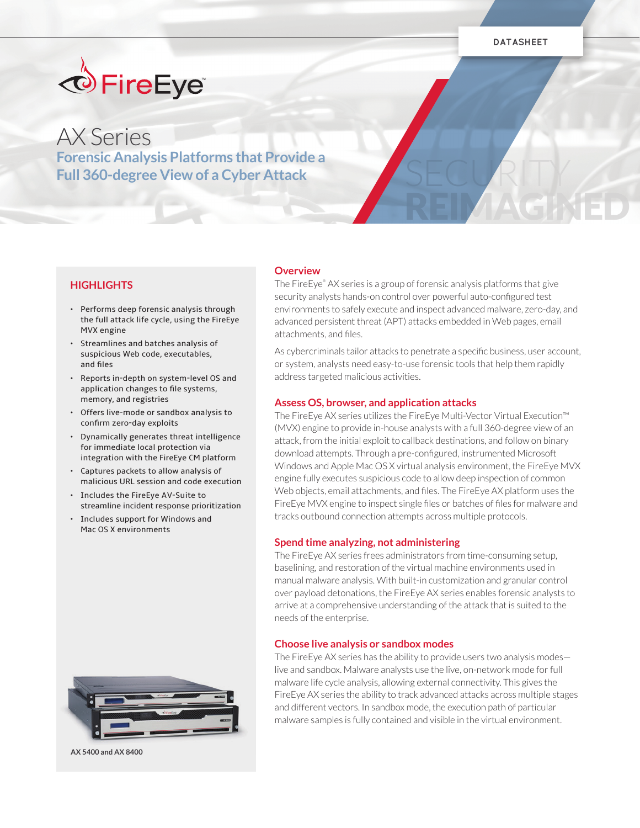SECURITY

REIMAGINED



# AX Series **Forensic Analysis Platforms that Provide a Full 360-degree View of a Cyber Attack**

## **HIGHLIGHTS**

- Performs deep forensic analysis through the full attack life cycle, using the FireEye MVX engine
- Streamlines and batches analysis of suspicious Web code, executables, and files
- Reports in-depth on system-level OS and application changes to file systems, memory, and registries
- Offers live-mode or sandbox analysis to confirm zero-day exploits
- Dynamically generates threat intelligence for immediate local protection via integration with the FireEye CM platform
- Captures packets to allow analysis of malicious URL session and code execution
- Includes the FireEye AV-Suite to streamline incident response prioritization
- Includes support for Windows and Mac OS X environments



**AX 5400 and AX 8400**

#### **Overview**

The FireEye® AX series is a group of forensic analysis platforms that give security analysts hands-on control over powerful auto-configured test environments to safely execute and inspect advanced malware, zero-day, and advanced persistent threat (APT) attacks embedded in Web pages, email attachments, and files.

As cybercriminals tailor attacks to penetrate a specific business, user account, or system, analysts need easy-to-use forensic tools that help them rapidly address targeted malicious activities.

#### **Assess OS, browser, and application attacks**

The FireEye AX series utilizes the FireEye Multi-Vector Virtual Execution™ (MVX) engine to provide in-house analysts with a full 360-degree view of an attack, from the initial exploit to callback destinations, and follow on binary download attempts. Through a pre-configured, instrumented Microsoft Windows and Apple Mac OS X virtual analysis environment, the FireEye MVX engine fully executes suspicious code to allow deep inspection of common Web objects, email attachments, and files. The FireEye AX platform uses the FireEye MVX engine to inspect single files or batches of files for malware and tracks outbound connection attempts across multiple protocols.

#### **Spend time analyzing, not administering**

The FireEye AX series frees administrators from time-consuming setup, baselining, and restoration of the virtual machine environments used in manual malware analysis. With built-in customization and granular control over payload detonations, the FireEye AX series enables forensic analysts to arrive at a comprehensive understanding of the attack that is suited to the needs of the enterprise.

#### **Choose live analysis or sandbox modes**

The FireEye AX series has the ability to provide users two analysis modes live and sandbox. Malware analysts use the live, on-network mode for full malware life cycle analysis, allowing external connectivity. This gives the FireEye AX series the ability to track advanced attacks across multiple stages and different vectors. In sandbox mode, the execution path of particular malware samples is fully contained and visible in the virtual environment.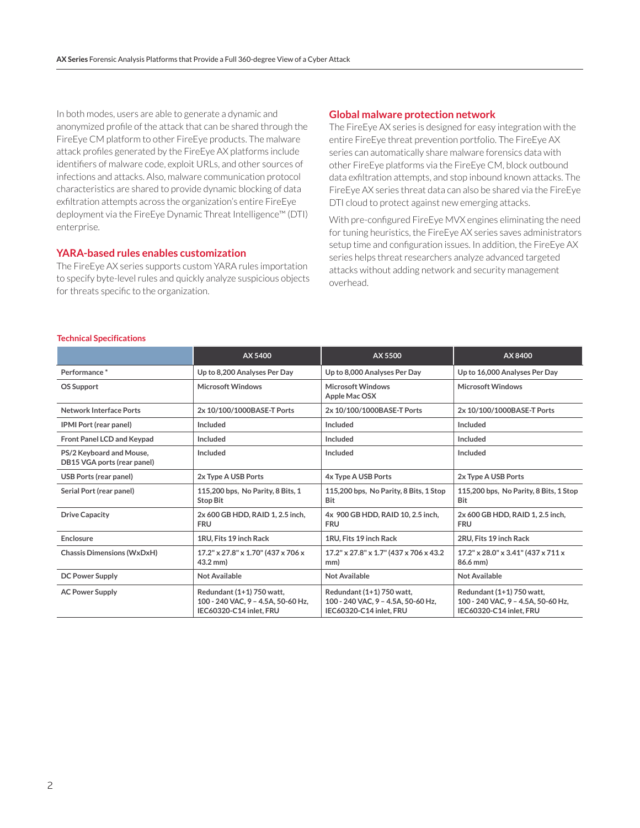In both modes, users are able to generate a dynamic and anonymized profile of the attack that can be shared through the FireEye CM platform to other FireEye products. The malware attack profiles generated by the FireEye AX platforms include identifiers of malware code, exploit URLs, and other sources of infections and attacks. Also, malware communication protocol characteristics are shared to provide dynamic blocking of data exfiltration attempts across the organization's entire FireEye deployment via the FireEye Dynamic Threat Intelligence™ (DTI) enterprise.

### **YARA-based rules enables customization**

The FireEye AX series supports custom YARA rules importation to specify byte-level rules and quickly analyze suspicious objects for threats specific to the organization.

#### **Global malware protection network**

The FireEye AX series is designed for easy integration with the entire FireEye threat prevention portfolio. The FireEye AX series can automatically share malware forensics data with other FireEye platforms via the FireEye CM, block outbound data exfiltration attempts, and stop inbound known attacks. The FireEye AX series threat data can also be shared via the FireEye DTI cloud to protect against new emerging attacks.

With pre-configured FireEye MVX engines eliminating the need for tuning heuristics, the FireEye AX series saves administrators setup time and configuration issues. In addition, the FireEye AX series helps threat researchers analyze advanced targeted attacks without adding network and security management overhead.

|                                                         | AX 5400                                                                                    | AX 5500                                                                                    | AX 8400                                                                                    |
|---------------------------------------------------------|--------------------------------------------------------------------------------------------|--------------------------------------------------------------------------------------------|--------------------------------------------------------------------------------------------|
| Performance*                                            | Up to 8,200 Analyses Per Day                                                               | Up to 8,000 Analyses Per Day                                                               | Up to 16,000 Analyses Per Day                                                              |
| <b>OS Support</b>                                       | <b>Microsoft Windows</b>                                                                   | <b>Microsoft Windows</b><br>Apple Mac OSX                                                  | <b>Microsoft Windows</b>                                                                   |
| <b>Network Interface Ports</b>                          | 2x 10/100/1000BASE-T Ports                                                                 | 2x 10/100/1000BASE-T Ports                                                                 | 2x 10/100/1000BASE-T Ports                                                                 |
| <b>IPMI Port (rear panel)</b>                           | Included                                                                                   | Included                                                                                   | Included                                                                                   |
| Front Panel LCD and Keypad                              | Included                                                                                   | Included                                                                                   | Included                                                                                   |
| PS/2 Keyboard and Mouse,<br>DB15 VGA ports (rear panel) | Included                                                                                   | Included                                                                                   | Included                                                                                   |
| <b>USB Ports (rear panel)</b>                           | 2x Type A USB Ports                                                                        | 4x Type A USB Ports                                                                        | 2x Type A USB Ports                                                                        |
| Serial Port (rear panel)                                | 115,200 bps, No Parity, 8 Bits, 1<br><b>Stop Bit</b>                                       | 115,200 bps, No Parity, 8 Bits, 1 Stop<br>Bit                                              | 115,200 bps, No Parity, 8 Bits, 1 Stop<br>Bit                                              |
| <b>Drive Capacity</b>                                   | 2x 600 GB HDD, RAID 1, 2.5 inch,<br><b>FRU</b>                                             | 4x 900 GB HDD, RAID 10, 2.5 inch,<br><b>FRU</b>                                            | 2x 600 GB HDD, RAID 1, 2.5 inch,<br><b>FRU</b>                                             |
| Enclosure                                               | 1RU, Fits 19 inch Rack                                                                     | 1RU. Fits 19 inch Rack                                                                     | 2RU, Fits 19 inch Rack                                                                     |
| <b>Chassis Dimensions (WxDxH)</b>                       | 17.2" x 27.8" x 1.70" (437 x 706 x<br>$43.2$ mm)                                           | 17.2" x 27.8" x 1.7" (437 x 706 x 43.2)<br>mm)                                             | 17.2" x 28.0" x 3.41" (437 x 711 x<br>86.6 mm)                                             |
| <b>DC Power Supply</b>                                  | Not Available                                                                              | <b>Not Available</b>                                                                       | Not Available                                                                              |
| <b>AC Power Supply</b>                                  | Redundant (1+1) 750 watt,<br>100 - 240 VAC, 9 - 4.5A, 50-60 Hz,<br>IEC60320-C14 inlet. FRU | Redundant (1+1) 750 watt,<br>100 - 240 VAC, 9 - 4.5A, 50-60 Hz,<br>IEC60320-C14 inlet. FRU | Redundant (1+1) 750 watt,<br>100 - 240 VAC, 9 - 4.5A, 50-60 Hz,<br>IEC60320-C14 inlet. FRU |

#### **Technical Specifications**